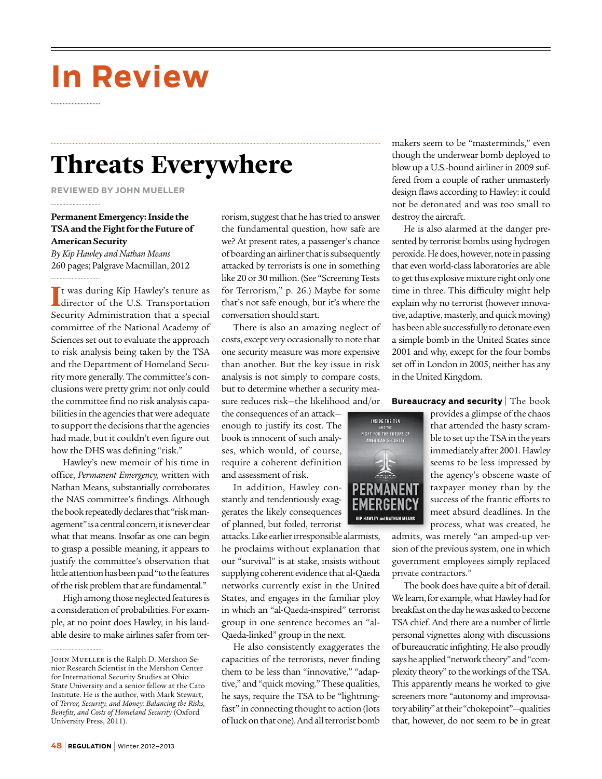# **In Review**

### **Threats Everywhere**

**Reviewed by John Mueller**

#### **Permanent Emergency: Inside the TSA and the Fight for the Future of American Security**

*By Kip Hawley and Nathan Means* 260 pages; Palgrave Macmillan, 2012

It was during Kip Hawley's tenure as<br>director of the U.S. Transportation t was during Kip Hawley's tenure as Security Administration that a special committee of the National Academy of Sciences set out to evaluate the approach to risk analysis being taken by the TSA and the Department of Homeland Security more generally. The committee's conclusions were pretty grim: not only could the committee find no risk analysis capabilities in the agencies that were adequate to support the decisions that the agencies had made, but it couldn't even figure out how the DHS was defining "risk."

Hawley's new memoir of his time in office, *Permanent Emergency,* written with Nathan Means, substantially corroborates the NAS committee's findings. Although the book repeatedly declares that "risk management" is a central concern, it is never clear what that means. Insofar as one can begin to grasp a possible meaning, it appears to justify the committee's observation that little attention has been paid "to the features of the risk problem that are fundamental."

High among those neglected features is a consideration of probabilities. For example, at no point does Hawley, in his laudable desire to make airlines safer from terrorism, suggest that he has tried to answer the fundamental question, how safe are we? At present rates, a passenger's chance of boarding an airliner that is subsequently attacked by terrorists is one in something like 20 or 30 million. (See "Screening Tests for Terrorism," p. 26.) Maybe for some that's not safe enough, but it's where the conversation should start.

There is also an amazing neglect of costs, except very occasionally to note that one security measure was more expensive than another. But the key issue in risk analysis is not simply to compare costs, but to determine whether a security measure reduces risk—the likelihood and/or

the consequences of an attack enough to justify its cost. The book is innocent of such analyses, which would, of course, require a coherent definition and assessment of risk.

In addition, Hawley constantly and tendentiously exaggerates the likely consequences of planned, but foiled, terrorist

attacks. Like earlier irresponsible alarmists, he proclaims without explanation that our "survival" is at stake, insists without supplying coherent evidence that al-Qaeda networks currently exist in the United States, and engages in the familiar ploy in which an "al-Qaeda-inspired" terrorist group in one sentence becomes an "al-Qaeda-linked" group in the next.

He also consistently exaggerates the capacities of the terrorists, never finding them to be less than "innovative," "adaptive," and "quick moving." These qualities, he says, require the TSA to be "lightningfast" in connecting thought to action (lots of luck on that one). And all terrorist bomb makers seem to be "masterminds," even though the underwear bomb deployed to blow up a U.S.-bound airliner in 2009 suffered from a couple of rather unmasterly design flaws according to Hawley: it could not be detonated and was too small to destroy the aircraft.

He is also alarmed at the danger presented by terrorist bombs using hydrogen peroxide. He does, however, note in passing that even world-class laboratories are able to get this explosive mixture right only one time in three. This difficulty might help explain why no terrorist (however innovative, adaptive, masterly, and quick moving) has been able successfully to detonate even a simple bomb in the United States since 2001 and why, except for the four bombs set off in London in 2005, neither has any in the United Kingdom.

#### **Bureaucracy and security** The book



provides a glimpse of the chaos that attended the hasty scramble to set up the TSA in the years immediately after 2001. Hawley seems to be less impressed by the agency's obscene waste of taxpayer money than by the success of the frantic efforts to meet absurd deadlines. In the process, what was created, he

admits, was merely "an amped-up version of the previous system, one in which government employees simply replaced private contractors."

The book does have quite a bit of detail. We learn, for example, what Hawley had for breakfast on the day he was asked to become TSA chief. And there are a number of little personal vignettes along with discussions of bureaucratic infighting. He also proudly says he applied "network theory" and "complexity theory" to the workings of the TSA. This apparently means he worked to give screeners more "autonomy and improvisatory ability" at their "chokepoint"—qualities that, however, do not seem to be in great

JOHN MUELLER is the Ralph D. Mershon Senior Research Scientist in the Mershon Center for International Security Studies at Ohio State University and a senior fellow at the Cato Institute. He is the author, with Mark Stewart, of *Terror, Security, and Money: Balancing the Risks, Benefits, and Costs of Homeland Security* (Oxford University Press, 2011).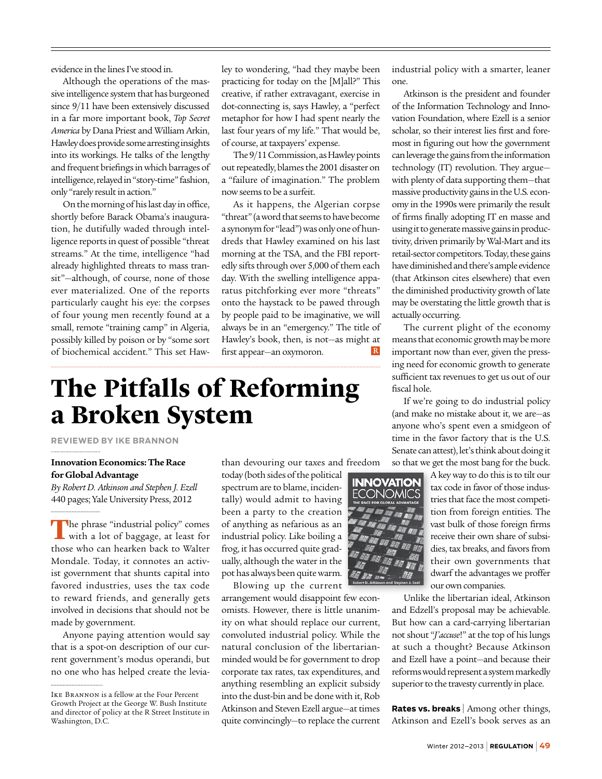evidence in the lines I've stood in.

Although the operations of the massive intelligence system that has burgeoned since 9/11 have been extensively discussed in a far more important book, *Top Secret America* by Dana Priest and William Arkin, Hawley does provide some arresting insights into its workings. He talks of the lengthy and frequent briefings in which barrages of intelligence, relayed in "story-time" fashion, only "rarely result in action."

On the morning of his last day in office, shortly before Barack Obama's inauguration, he dutifully waded through intelligence reports in quest of possible "threat streams." At the time, intelligence "had already highlighted threats to mass transit"—although, of course, none of those ever materialized. One of the reports particularly caught his eye: the corpses of four young men recently found at a small, remote "training camp" in Algeria, possibly killed by poison or by "some sort of biochemical accident." This set Hawley to wondering, "had they maybe been practicing for today on the [M]all?" This creative, if rather extravagant, exercise in dot-connecting is, says Hawley, a "perfect metaphor for how I had spent nearly the last four years of my life." That would be, of course, at taxpayers' expense.

The 9/11 Commission, as Hawley points out repeatedly, blames the 2001 disaster on a "failure of imagination." The problem now seems to be a surfeit.

As it happens, the Algerian corpse "threat" (a word that seems to have become a synonym for "lead") was only one of hundreds that Hawley examined on his last morning at the TSA, and the FBI reportedly sifts through over 5,000 of them each day. With the swelling intelligence apparatus pitchforking ever more "threats" onto the haystack to be pawed through by people paid to be imaginative, we will always be in an "emergency." The title of Hawley's book, then, is not—as might at  $\mathbb R$ first appear—an oxymoron.

## **The Pitfalls of Reforming a Broken System**

**Reviewed by Ike Brannon**

#### **Innovation Economics: The Race for Global Advantage**

*By Robert D. Atkinson and Stephen J. Ezell* 440 pages; Yale University Press, 2012

The phrase "industrial policy" comes<br>
with a lot of baggage, at least for those who can hearken back to Walter Mondale. Today, it connotes an activist government that shunts capital into favored industries, uses the tax code to reward friends, and generally gets involved in decisions that should not be made by government.

Anyone paying attention would say that is a spot-on description of our current government's modus operandi, but no one who has helped create the leviathan devouring our taxes and freedom

today (both sides of the political spectrum are to blame, incidentally) would admit to having been a party to the creation of anything as nefarious as an industrial policy. Like boiling a frog, it has occurred quite gradually, although the water in the pot has always been quite warm.

Blowing up the current arrangement would disappoint few economists. However, there is little unanimity on what should replace our current, convoluted industrial policy. While the natural conclusion of the libertarianminded would be for government to drop corporate tax rates, tax expenditures, and anything resembling an explicit subsidy into the dust-bin and be done with it, Rob Atkinson and Steven Ezell argue—at times quite convincingly—to replace the current industrial policy with a smarter, leaner one.

Atkinson is the president and founder of the Information Technology and Innovation Foundation, where Ezell is a senior scholar, so their interest lies first and foremost in figuring out how the government can leverage the gains from the information technology (IT) revolution. They argue with plenty of data supporting them—that massive productivity gains in the U.S. economy in the 1990s were primarily the result of firms finally adopting IT en masse and using it to generate massive gains in productivity, driven primarily by Wal-Mart and its retail-sector competitors. Today, these gains have diminished and there's ample evidence (that Atkinson cites elsewhere) that even the diminished productivity growth of late may be overstating the little growth that is actually occurring.

The current plight of the economy means that economic growth may be more important now than ever, given the pressing need for economic growth to generate sufficient tax revenues to get us out of our fiscal hole.

If we're going to do industrial policy (and make no mistake about it, we are—as anyone who's spent even a smidgeon of time in the favor factory that is the U.S. Senate can attest), let's think about doing it

so that we get the most bang for the buck.



A key way to do this is to tilt our tax code in favor of those industries that face the most competition from foreign entities. The vast bulk of those foreign firms receive their own share of subsidies, tax breaks, and favors from their own governments that dwarf the advantages we proffer our own companies.

Unlike the libertarian ideal, Atkinson and Edzell's proposal may be achievable. But how can a card-carrying libertarian not shout "*J'accuse*!" at the top of his lungs at such a thought? Because Atkinson and Ezell have a point—and because their reforms would represent a system markedly superior to the travesty currently in place.

**Rates vs. breaks** | Among other things, Atkinson and Ezell's book serves as an

Ike Brannon is a fellow at the Four Percent Growth Project at the George W. Bush Institute and director of policy at the R Street Institute in Washington, D.C.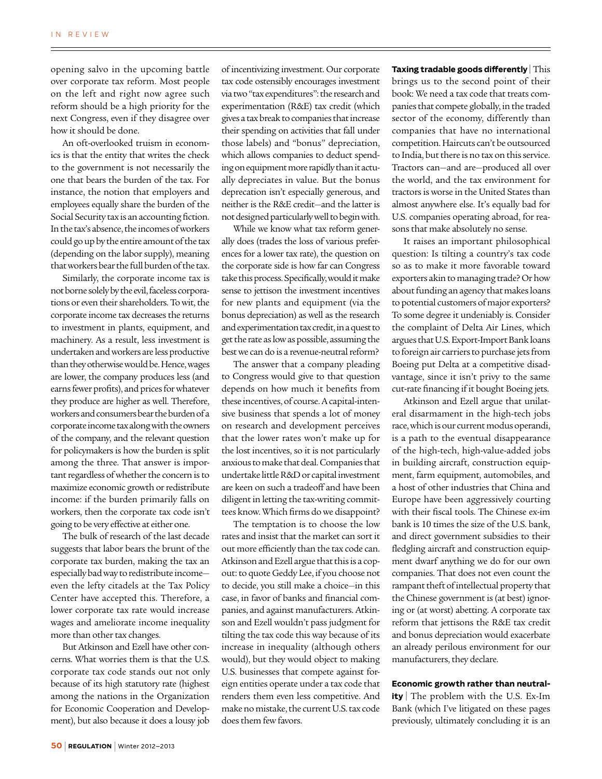opening salvo in the upcoming battle over corporate tax reform. Most people on the left and right now agree such reform should be a high priority for the next Congress, even if they disagree over how it should be done.

An oft-overlooked truism in economics is that the entity that writes the check to the government is not necessarily the one that bears the burden of the tax. For instance, the notion that employers and employees equally share the burden of the Social Security tax is an accounting fiction. In the tax's absence, the incomes of workers could go up by the entire amount of the tax (depending on the labor supply), meaning that workers bear the full burden of the tax.

Similarly, the corporate income tax is not borne solely by the evil, faceless corporations or even their shareholders. To wit, the corporate income tax decreases the returns to investment in plants, equipment, and machinery. As a result, less investment is undertaken and workers are less productive than they otherwise would be. Hence, wages are lower, the company produces less (and earns fewer profits), and prices for whatever they produce are higher as well. Therefore, workers and consumers bear the burden of a corporate income tax along with the owners of the company, and the relevant question for policymakers is how the burden is split among the three. That answer is important regardless of whether the concern is to maximize economic growth or redistribute income: if the burden primarily falls on workers, then the corporate tax code isn't going to be very effective at either one.

The bulk of research of the last decade suggests that labor bears the brunt of the corporate tax burden, making the tax an especially bad way to redistribute income even the lefty citadels at the Tax Policy Center have accepted this. Therefore, a lower corporate tax rate would increase wages and ameliorate income inequality more than other tax changes.

But Atkinson and Ezell have other concerns. What worries them is that the U.S. corporate tax code stands out not only because of its high statutory rate (highest among the nations in the Organization for Economic Cooperation and Development), but also because it does a lousy job

of incentivizing investment. Our corporate tax code ostensibly encourages investment via two "tax expenditures": the research and experimentation (R&E) tax credit (which gives a tax break to companies that increase their spending on activities that fall under those labels) and "bonus" depreciation, which allows companies to deduct spending on equipment more rapidly than it actually depreciates in value. But the bonus deprecation isn't especially generous, and neither is the R&E credit—and the latter is not designed particularly well to begin with.

While we know what tax reform generally does (trades the loss of various preferences for a lower tax rate), the question on the corporate side is how far can Congress take this process. Specifically, would it make sense to jettison the investment incentives for new plants and equipment (via the bonus depreciation) as well as the research and experimentation tax credit, in a quest to get the rate as low as possible, assuming the best we can do is a revenue-neutral reform?

The answer that a company pleading to Congress would give to that question depends on how much it benefits from these incentives, of course. A capital-intensive business that spends a lot of money on research and development perceives that the lower rates won't make up for the lost incentives, so it is not particularly anxious to make that deal. Companies that undertake little R&D or capital investment are keen on such a tradeoff and have been diligent in letting the tax-writing committees know. Which firms do we disappoint?

The temptation is to choose the low rates and insist that the market can sort it out more efficiently than the tax code can. Atkinson and Ezell argue that this is a copout: to quote Geddy Lee, if you choose not to decide, you still make a choice—in this case, in favor of banks and financial companies, and against manufacturers. Atkinson and Ezell wouldn't pass judgment for tilting the tax code this way because of its increase in inequality (although others would), but they would object to making U.S. businesses that compete against foreign entities operate under a tax code that renders them even less competitive. And make no mistake, the current U.S. tax code does them few favors.

**Taxing tradable goods differently** | This brings us to the second point of their book: We need a tax code that treats companies that compete globally, in the traded sector of the economy, differently than companies that have no international competition. Haircuts can't be outsourced to India, but there is no tax on this service. Tractors can—and are—produced all over the world, and the tax environment for tractors is worse in the United States than almost anywhere else. It's equally bad for U.S. companies operating abroad, for reasons that make absolutely no sense.

It raises an important philosophical question: Is tilting a country's tax code so as to make it more favorable toward exporters akin to managing trade? Or how about funding an agency that makes loans to potential customers of major exporters? To some degree it undeniably is. Consider the complaint of Delta Air Lines, which argues that U.S. Export-Import Bank loans to foreign air carriers to purchase jets from Boeing put Delta at a competitive disadvantage, since it isn't privy to the same cut-rate financing if it bought Boeing jets.

Atkinson and Ezell argue that unilateral disarmament in the high-tech jobs race, which is our current modus operandi, is a path to the eventual disappearance of the high-tech, high-value-added jobs in building aircraft, construction equipment, farm equipment, automobiles, and a host of other industries that China and Europe have been aggressively courting with their fiscal tools. The Chinese ex-im bank is 10 times the size of the U.S. bank, and direct government subsidies to their fledgling aircraft and construction equipment dwarf anything we do for our own companies. That does not even count the rampant theft of intellectual property that the Chinese government is (at best) ignoring or (at worst) abetting. A corporate tax reform that jettisons the R&E tax credit and bonus depreciation would exacerbate an already perilous environment for our manufacturers, they declare.

#### **Economic growth rather than neutral-**

**ity** | The problem with the U.S. Ex-Im Bank (which I've litigated on these pages previously, ultimately concluding it is an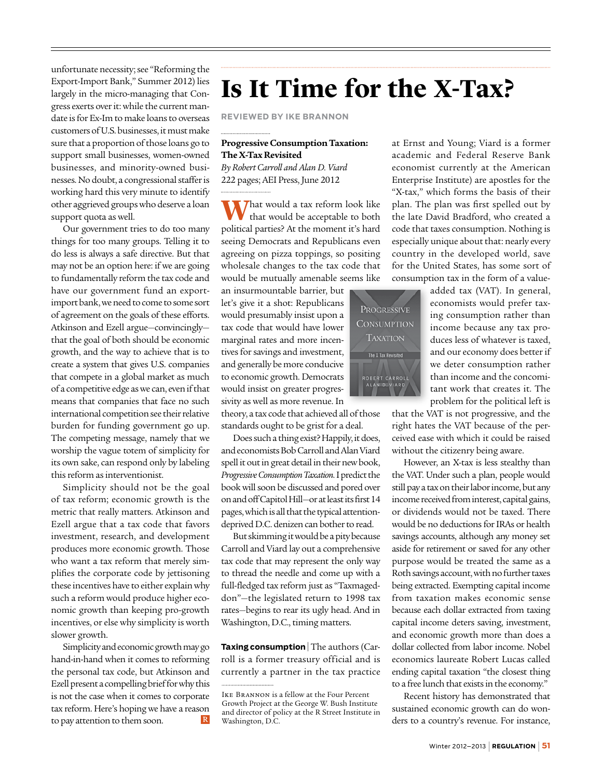unfortunate necessity; see "Reforming the Export-Import Bank," Summer 2012) lies largely in the micro-managing that Congress exerts over it: while the current mandate is for Ex-Im to make loans to overseas customers of U.S. businesses, it must make sure that a proportion of those loans go to support small businesses, women-owned businesses, and minority-owned businesses. No doubt, a congressional staffer is working hard this very minute to identify other aggrieved groups who deserve a loan support quota as well.

Our government tries to do too many things for too many groups. Telling it to do less is always a safe directive. But that may not be an option here: if we are going to fundamentally reform the tax code and have our government fund an exportimport bank, we need to come to some sort of agreement on the goals of these efforts. Atkinson and Ezell argue—convincingly that the goal of both should be economic growth, and the way to achieve that is to create a system that gives U.S. companies that compete in a global market as much of a competitive edge as we can, even if that means that companies that face no such international competition see their relative burden for funding government go up. The competing message, namely that we worship the vague totem of simplicity for its own sake, can respond only by labeling this reform as interventionist.

Simplicity should not be the goal of tax reform; economic growth is the metric that really matters. Atkinson and Ezell argue that a tax code that favors investment, research, and development produces more economic growth. Those who want a tax reform that merely simplifies the corporate code by jettisoning these incentives have to either explain why such a reform would produce higher economic growth than keeping pro-growth incentives, or else why simplicity is worth slower growth.

Simplicity and economic growth may go hand-in-hand when it comes to reforming the personal tax code, but Atkinson and Ezell present a compelling brief for why this is not the case when it comes to corporate tax reform. Here's hoping we have a reason  $\mathbb R$ to pay attention to them soon.

## **Is It Time for the X-Tax?**

**Reviewed by Ike Brannon**

#### **Progressive Consumption Taxation: The X-Tax Revisited**

*By Robert Carroll and Alan D. Viard*  222 pages; AEI Press, June 2012

**That would a tax reform look like** that would be acceptable to both political parties? At the moment it's hard seeing Democrats and Republicans even agreeing on pizza toppings, so positing wholesale changes to the tax code that would be mutually amenable seems like

an insurmountable barrier, but let's give it a shot: Republicans would presumably insist upon a tax code that would have lower marginal rates and more incentives for savings and investment, and generally be more conducive to economic growth. Democrats would insist on greater progressivity as well as more revenue. In

theory, a tax code that achieved all of those standards ought to be grist for a deal.

Does such a thing exist? Happily, it does, and economists Bob Carroll and Alan Viard spell it out in great detail in their new book, *Progressive Consumption Taxation.* I predict the book will soon be discussed and pored over on and off Capitol Hill—or at least its first 14 pages, which is all that the typical attentiondeprived D.C. denizen can bother to read.

But skimming it would be a pity because Carroll and Viard lay out a comprehensive tax code that may represent the only way to thread the needle and come up with a full-fledged tax reform just as "Taxmageddon"—the legislated return to 1998 tax rates—begins to rear its ugly head. And in Washington, D.C., timing matters.

**Taxing consumption** | The authors (Carroll is a former treasury official and is currently a partner in the tax practice

at Ernst and Young; Viard is a former academic and Federal Reserve Bank economist currently at the American Enterprise Institute) are apostles for the "X-tax," which forms the basis of their plan. The plan was first spelled out by the late David Bradford, who created a code that taxes consumption. Nothing is especially unique about that: nearly every country in the developed world, save for the United States, has some sort of consumption tax in the form of a value-



added tax (VAT). In general, economists would prefer taxing consumption rather than income because any tax produces less of whatever is taxed, and our economy does better if we deter consumption rather than income and the concomitant work that creates it. The problem for the political left is

that the VAT is not progressive, and the right hates the VAT because of the perceived ease with which it could be raised without the citizenry being aware.

However, an X-tax is less stealthy than the VAT. Under such a plan, people would still pay a tax on their labor income, but any income received from interest, capital gains, or dividends would not be taxed. There would be no deductions for IRAs or health savings accounts, although any money set aside for retirement or saved for any other purpose would be treated the same as a Roth savings account, with no further taxes being extracted. Exempting capital income from taxation makes economic sense because each dollar extracted from taxing capital income deters saving, investment, and economic growth more than does a dollar collected from labor income. Nobel economics laureate Robert Lucas called ending capital taxation "the closest thing to a free lunch that exists in the economy."

Recent history has demonstrated that sustained economic growth can do wonders to a country's revenue. For instance,

Ike Brannon is a fellow at the Four Percent Growth Project at the George W. Bush Institute and director of policy at the R Street Institute in Washington, D.C.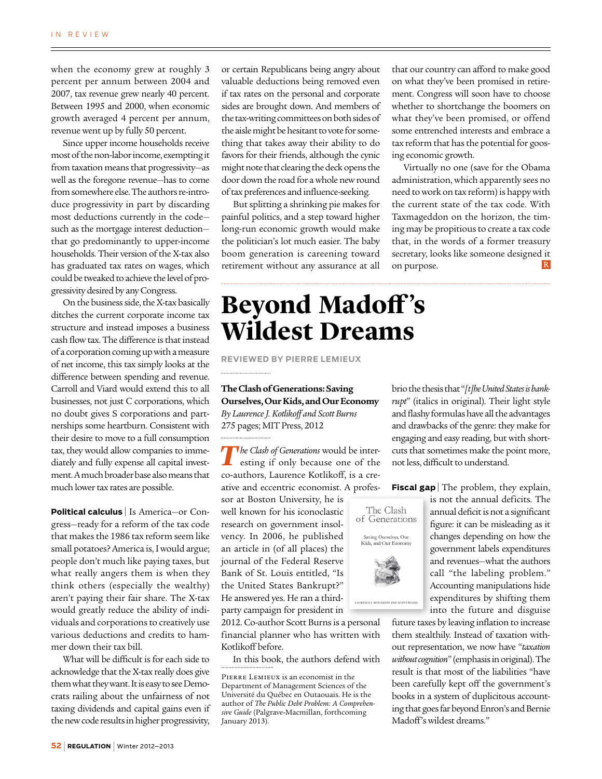when the economy grew at roughly 3 percent per annum between 2004 and 2007, tax revenue grew nearly 40 percent. Between 1995 and 2000, when economic growth averaged 4 percent per annum, revenue went up by fully 50 percent.

Since upper income households receive most of the non-labor income, exempting it from taxation means that progressivity—as well as the foregone revenue—has to come from somewhere else. The authors re-introduce progressivity in part by discarding most deductions currently in the code such as the mortgage interest deduction that go predominantly to upper-income households. Their version of the X-tax also has graduated tax rates on wages, which could be tweaked to achieve the level of progressivity desired by any Congress.

On the business side, the X-tax basically ditches the current corporate income tax structure and instead imposes a business cash flow tax. The difference is that instead of a corporation coming up with a measure of net income, this tax simply looks at the difference between spending and revenue. Carroll and Viard would extend this to all businesses, not just C corporations, which no doubt gives S corporations and partnerships some heartburn. Consistent with their desire to move to a full consumption tax, they would allow companies to immediately and fully expense all capital investment. A much broader base also means that much lower tax rates are possible.

**Political calculus** | Is America—or Congress—ready for a reform of the tax code that makes the 1986 tax reform seem like small potatoes? America is, I would argue; people don't much like paying taxes, but what really angers them is when they think others (especially the wealthy) aren't paying their fair share. The X-tax would greatly reduce the ability of individuals and corporations to creatively use various deductions and credits to hammer down their tax bill.

What will be difficult is for each side to acknowledge that the X-tax really does give them what they want. It is easy to see Democrats railing about the unfairness of not taxing dividends and capital gains even if the new code results in higher progressivity, or certain Republicans being angry about valuable deductions being removed even if tax rates on the personal and corporate sides are brought down. And members of the tax-writing committees on both sides of the aisle might be hesitant to vote for something that takes away their ability to do favors for their friends, although the cynic might note that clearing the deck opens the door down the road for a whole new round of tax preferences and influence-seeking.

But splitting a shrinking pie makes for painful politics, and a step toward higher long-run economic growth would make the politician's lot much easier. The baby boom generation is careening toward retirement without any assurance at all that our country can afford to make good on what they've been promised in retirement. Congress will soon have to choose whether to shortchange the boomers on what they've been promised, or offend some entrenched interests and embrace a tax reform that has the potential for goosing economic growth.

Virtually no one (save for the Obama administration, which apparently sees no need to work on tax reform) is happy with the current state of the tax code. With Taxmageddon on the horizon, the timing may be propitious to create a tax code that, in the words of a former treasury secretary, looks like someone designed it  $|R|$ on purpose.

### **Beyond Madoff 's Wildest Dreams**

**Reviewed by Pierre Lemieux**

**The Clash of Generations: Saving Ourselves, Our Kids, and Our Economy** *By Laurence J. Kotlikoff and Scott Burns* 275 pages; MIT Press, 2012

*The Clash of Generations* would be interesting if only because one of the co-authors, Laurence Kotlikoff, is a creative and eccentric economist. A profes-

sor at Boston University, he is well known for his iconoclastic research on government insolvency. In 2006, he published an article in (of all places) the journal of the Federal Reserve Bank of St. Louis entitled, "Is the United States Bankrupt?" He answered yes. He ran a thirdparty campaign for president in

2012. Co-author Scott Burns is a personal financial planner who has written with Kotlikoff before.

In this book, the authors defend with

and flashy formulas have all the advantages and drawbacks of the genre: they make for engaging and easy reading, but with shortcuts that sometimes make the point more, not less, difficult to understand.

The Clash of Generations

Saving Ourselves, Our<br>Kids, and Our Economy

brio the thesis that "*[t]he United States is bankrupt*" (italics in original). Their light style

**Fiscal gap** The problem, they explain,

is not the annual deficits. The annual deficit is not a significant figure: it can be misleading as it changes depending on how the government labels expenditures and revenues—what the authors call "the labeling problem." Accounting manipulations hide expenditures by shifting them into the future and disguise

future taxes by leaving inflation to increase them stealthily. Instead of taxation without representation, we now have "*taxation without cognition*" (emphasis in original). The result is that most of the liabilities "have been carefully kept off the government's books in a system of duplicitous accounting that goes far beyond Enron's and Bernie Madoff's wildest dreams."

Pierre Lemieux is an economist in the Department of Management Sciences of the Université du Québec en Outaouais. He is the author of *The Public Debt Problem: A Comprehensive Guide* (Palgrave-Macmillan, forthcoming January 2013).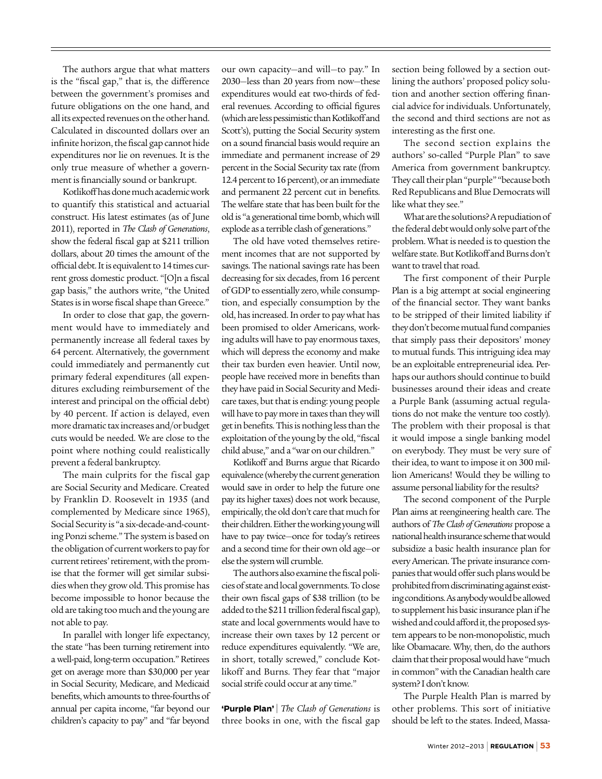The authors argue that what matters is the "fiscal gap," that is, the difference between the government's promises and future obligations on the one hand, and all its expected revenues on the other hand. Calculated in discounted dollars over an infinite horizon, the fiscal gap cannot hide expenditures nor lie on revenues. It is the only true measure of whether a government is financially sound or bankrupt.

Kotlikoff has done much academic work to quantify this statistical and actuarial construct. His latest estimates (as of June 2011), reported in *The Clash of Generations*, show the federal fiscal gap at \$211 trillion dollars, about 20 times the amount of the official debt. It is equivalent to 14 times current gross domestic product. "[O]n a fiscal gap basis," the authors write, "the United States is in worse fiscal shape than Greece."

In order to close that gap, the government would have to immediately and permanently increase all federal taxes by 64 percent. Alternatively, the government could immediately and permanently cut primary federal expenditures (all expenditures excluding reimbursement of the interest and principal on the official debt) by 40 percent. If action is delayed, even more dramatic tax increases and/or budget cuts would be needed. We are close to the point where nothing could realistically prevent a federal bankruptcy.

The main culprits for the fiscal gap are Social Security and Medicare. Created by Franklin D. Roosevelt in 1935 (and complemented by Medicare since 1965), Social Security is "a six-decade-and-counting Ponzi scheme." The system is based on the obligation of current workers to pay for current retirees' retirement, with the promise that the former will get similar subsidies when they grow old. This promise has become impossible to honor because the old are taking too much and the young are not able to pay.

In parallel with longer life expectancy, the state "has been turning retirement into a well-paid, long-term occupation." Retirees get on average more than \$30,000 per year in Social Security, Medicare, and Medicaid benefits, which amounts to three-fourths of annual per capita income, "far beyond our children's capacity to pay" and "far beyond

our own capacity—and will—to pay." In 2030—less than 20 years from now—these expenditures would eat two-thirds of federal revenues. According to official figures (which are less pessimistic than Kotlikoff and Scott's), putting the Social Security system on a sound financial basis would require an immediate and permanent increase of 29 percent in the Social Security tax rate (from 12.4 percent to 16 percent), or an immediate and permanent 22 percent cut in benefits. The welfare state that has been built for the old is "a generational time bomb, which will explode as a terrible clash of generations."

The old have voted themselves retirement incomes that are not supported by savings. The national savings rate has been decreasing for six decades, from 16 percent of GDP to essentially zero, while consumption, and especially consumption by the old, has increased. In order to pay what has been promised to older Americans, working adults will have to pay enormous taxes, which will depress the economy and make their tax burden even heavier. Until now, people have received more in benefits than they have paid in Social Security and Medicare taxes, but that is ending: young people will have to pay more in taxes than they will get in benefits. This is nothing less than the exploitation of the young by the old, "fiscal child abuse," and a "war on our children."

Kotlikoff and Burns argue that Ricardo equivalence (whereby the current generation would save in order to help the future one pay its higher taxes) does not work because, empirically, the old don't care that much for their children. Either the working young will have to pay twice—once for today's retirees and a second time for their own old age—or else the system will crumble.

The authors also examine the fiscal policies of state and local governments. To close their own fiscal gaps of \$38 trillion (to be added to the \$211 trillion federal fiscal gap), state and local governments would have to increase their own taxes by 12 percent or reduce expenditures equivalently. "We are, in short, totally screwed," conclude Kotlikoff and Burns. They fear that "major social strife could occur at any time."

**'Purple Plan'** <sup>|</sup> *The Clash of Generations* is three books in one, with the fiscal gap

section being followed by a section outlining the authors' proposed policy solution and another section offering financial advice for individuals. Unfortunately, the second and third sections are not as interesting as the first one.

The second section explains the authors' so-called "Purple Plan" to save America from government bankruptcy. They call their plan "purple" "because both Red Republicans and Blue Democrats will like what they see."

What are the solutions? A repudiation of the federal debt would only solve part of the problem. What is needed is to question the welfare state. But Kotlikoff and Burns don't want to travel that road.

The first component of their Purple Plan is a big attempt at social engineering of the financial sector. They want banks to be stripped of their limited liability if they don't become mutual fund companies that simply pass their depositors' money to mutual funds. This intriguing idea may be an exploitable entrepreneurial idea. Perhaps our authors should continue to build businesses around their ideas and create a Purple Bank (assuming actual regulations do not make the venture too costly). The problem with their proposal is that it would impose a single banking model on everybody. They must be very sure of their idea, to want to impose it on 300 million Americans! Would they be willing to assume personal liability for the results?

The second component of the Purple Plan aims at reengineering health care. The authors of *The Clash of Generations* propose a national health insurance scheme that would subsidize a basic health insurance plan for every American. The private insurance companies that would offer such plans would be prohibited from discriminating against existing conditions. As anybody would be allowed to supplement his basic insurance plan if he wished and could afford it, the proposed system appears to be non-monopolistic, much like Obamacare. Why, then, do the authors claim that their proposal would have "much in common" with the Canadian health care system? I don't know.

The Purple Health Plan is marred by other problems. This sort of initiative should be left to the states. Indeed, Massa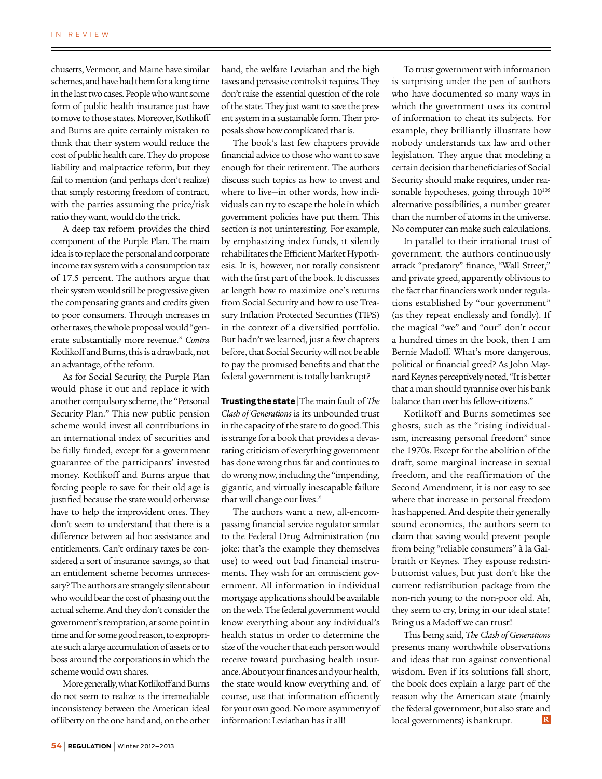chusetts, Vermont, and Maine have similar schemes, and have had them for a long time in the last two cases. People who want some form of public health insurance just have to move to those states. Moreover, Kotlikoff and Burns are quite certainly mistaken to think that their system would reduce the cost of public health care. They do propose liability and malpractice reform, but they fail to mention (and perhaps don't realize) that simply restoring freedom of contract, with the parties assuming the price/risk ratio they want, would do the trick.

A deep tax reform provides the third component of the Purple Plan. The main idea is to replace the personal and corporate income tax system with a consumption tax of 17.5 percent. The authors argue that their system would still be progressive given the compensating grants and credits given to poor consumers. Through increases in other taxes, the whole proposal would "generate substantially more revenue." *Contra* Kotlikoff and Burns, this is a drawback, not an advantage, of the reform.

As for Social Security, the Purple Plan would phase it out and replace it with another compulsory scheme, the "Personal Security Plan." This new public pension scheme would invest all contributions in an international index of securities and be fully funded, except for a government guarantee of the participants' invested money. Kotlikoff and Burns argue that forcing people to save for their old age is justified because the state would otherwise have to help the improvident ones. They don't seem to understand that there is a difference between ad hoc assistance and entitlements. Can't ordinary taxes be considered a sort of insurance savings, so that an entitlement scheme becomes unnecessary? The authors are strangely silent about who would bear the cost of phasing out the actual scheme. And they don't consider the government's temptation, at some point in time and for some good reason, to expropriate such a large accumulation of assets or to boss around the corporations in which the scheme would own shares.

More generally, what Kotlikoff and Burns do not seem to realize is the irremediable inconsistency between the American ideal of liberty on the one hand and, on the other

hand, the welfare Leviathan and the high taxes and pervasive controls it requires. They don't raise the essential question of the role of the state. They just want to save the present system in a sustainable form. Their proposals show how complicated that is.

The book's last few chapters provide financial advice to those who want to save enough for their retirement. The authors discuss such topics as how to invest and where to live—in other words, how individuals can try to escape the hole in which government policies have put them. This section is not uninteresting. For example, by emphasizing index funds, it silently rehabilitates the Efficient Market Hypothesis. It is, however, not totally consistent with the first part of the book. It discusses at length how to maximize one's returns from Social Security and how to use Treasury Inflation Protected Securities (TIPS) in the context of a diversified portfolio. But hadn't we learned, just a few chapters before, that Social Security will not be able to pay the promised benefits and that the federal government is totally bankrupt?

**Trusting the state** | The main fault of *The Clash of Generations* is its unbounded trust in the capacity of the state to do good. This is strange for a book that provides a devastating criticism of everything government has done wrong thus far and continues to do wrong now, including the "impending, gigantic, and virtually inescapable failure that will change our lives."

The authors want a new, all-encompassing financial service regulator similar to the Federal Drug Administration (no joke: that's the example they themselves use) to weed out bad financial instruments. They wish for an omniscient government. All information in individual mortgage applications should be available on the web. The federal government would know everything about any individual's health status in order to determine the size of the voucher that each person would receive toward purchasing health insurance. About your finances and your health, the state would know everything and, of course, use that information efficiently for your own good. No more asymmetry of information: Leviathan has it all!

To trust government with information is surprising under the pen of authors who have documented so many ways in which the government uses its control of information to cheat its subjects. For example, they brilliantly illustrate how nobody understands tax law and other legislation. They argue that modeling a certain decision that beneficiaries of Social Security should make requires, under reasonable hypotheses, going through  $10^{105}$ alternative possibilities, a number greater than the number of atoms in the universe. No computer can make such calculations.

In parallel to their irrational trust of government, the authors continuously attack "predatory" finance, "Wall Street," and private greed, apparently oblivious to the fact that financiers work under regulations established by "our government" (as they repeat endlessly and fondly). If the magical "we" and "our" don't occur a hundred times in the book, then I am Bernie Madoff. What's more dangerous, political or financial greed? As John Maynard Keynes perceptively noted, "It is better that a man should tyrannise over his bank balance than over his fellow-citizens."

Kotlikoff and Burns sometimes see ghosts, such as the "rising individualism, increasing personal freedom" since the 1970s. Except for the abolition of the draft, some marginal increase in sexual freedom, and the reaffirmation of the Second Amendment, it is not easy to see where that increase in personal freedom has happened. And despite their generally sound economics, the authors seem to claim that saving would prevent people from being "reliable consumers" à la Galbraith or Keynes. They espouse redistributionist values, but just don't like the current redistribution package from the non-rich young to the non-poor old. Ah, they seem to cry, bring in our ideal state! Bring us a Madoff we can trust!

This being said, *The Clash of Generations* presents many worthwhile observations and ideas that run against conventional wisdom. Even if its solutions fall short, the book does explain a large part of the reason why the American state (mainly the federal government, but also state and  $\mathbb R$ local governments) is bankrupt.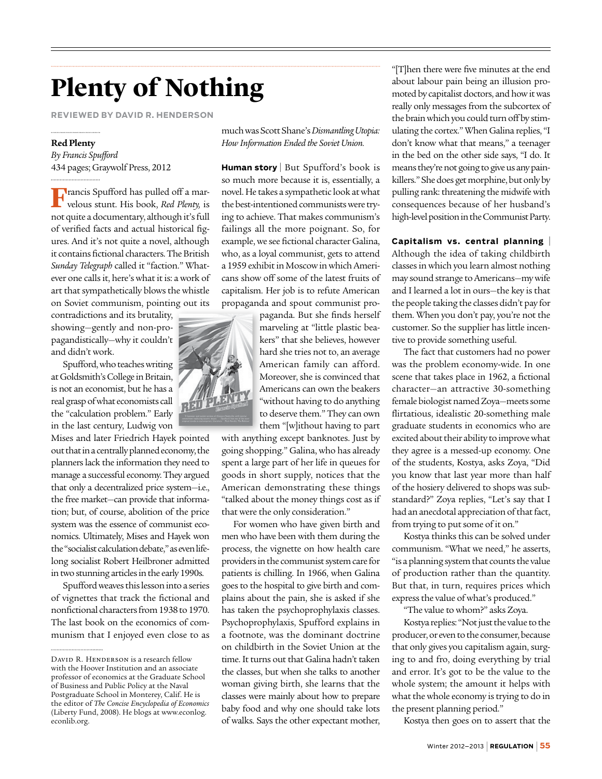## **Plenty of Nothing**

**Reviewed by David R. Henderson**

#### **Red Plenty**

*By Francis Spufford* 434 pages; Graywolf Press, 2012

**F**rancis Spufford has pulled off a mar-velous stunt. His book, *Red Plenty,* is not quite a documentary, although it's full of verified facts and actual historical figures. And it's not quite a novel, although it contains fictional characters. The British *Sunday Telegraph* called it "faction." Whatever one calls it, here's what it is: a work of art that sympathetically blows the whistle on Soviet communism, pointing out its

contradictions and its brutality, showing—gently and non-propagandistically—why it couldn't and didn't work.

Spufford, who teaches writing at Goldsmith's College in Britain, is not an economist, but he has a real grasp of what economists call the "calculation problem." Early in the last century, Ludwig von

Mises and later Friedrich Hayek pointed out that in a centrally planned economy, the planners lack the information they need to manage a successful economy. They argued that only a decentralized price system—i.e., the free market—can provide that information; but, of course, abolition of the price system was the essence of communist economics. Ultimately, Mises and Hayek won the "socialist calculation debate," as even lifelong socialist Robert Heilbroner admitted in two stunning articles in the early 1990s.

Spufford weaves this lesson into a series of vignettes that track the fictional and nonfictional characters from 1938 to 1970. The last book on the economics of communism that I enjoyed even close to as much was Scott Shane's *Dismantling Utopia: How Information Ended the Soviet Union.*

**Human story** | But Spufford's book is so much more because it is, essentially, a novel. He takes a sympathetic look at what the best-intentioned communists were trying to achieve. That makes communism's failings all the more poignant. So, for example, we see fictional character Galina, who, as a loyal communist, gets to attend a 1959 exhibit in Moscow in which Americans show off some of the latest fruits of capitalism. Her job is to refute American propaganda and spout communist pro-

> paganda. But she finds herself marveling at "little plastic beakers" that she believes, however hard she tries not to, an average American family can afford. Moreover, she is convinced that Americans can own the beakers "without having to do anything to deserve them." They can own them "[w]ithout having to part

with anything except banknotes. Just by going shopping." Galina, who has already spent a large part of her life in queues for goods in short supply, notices that the American demonstrating these things "talked about the money things cost as if that were the only consideration."

For women who have given birth and men who have been with them during the process, the vignette on how health care providers in the communist system care for patients is chilling. In 1966, when Galina goes to the hospital to give birth and complains about the pain, she is asked if she has taken the psychoprophylaxis classes. Psychoprophylaxis, Spufford explains in a footnote, was the dominant doctrine on childbirth in the Soviet Union at the time. It turns out that Galina hadn't taken the classes, but when she talks to another woman giving birth, she learns that the classes were mainly about how to prepare baby food and why one should take lots of walks. Says the other expectant mother,

"[T]hen there were five minutes at the end about labour pain being an illusion promoted by capitalist doctors, and how it was really only messages from the subcortex of the brain which you could turn off by stimulating the cortex." When Galina replies, "I don't know what that means," a teenager in the bed on the other side says, "I do. It means they're not going to give us any painkillers." She does get morphine, but only by pulling rank: threatening the midwife with consequences because of her husband's high-level position in the Communist Party.

#### **Capitalism vs. central planning** <sup>|</sup>

Although the idea of taking childbirth classes in which you learn almost nothing may sound strange to Americans—my wife and I learned a lot in ours—the key is that the people taking the classes didn't pay for them. When you don't pay, you're not the customer. So the supplier has little incentive to provide something useful.

The fact that customers had no power was the problem economy-wide. In one scene that takes place in 1962, a fictional character—an attractive 30-something female biologist named Zoya—meets some flirtatious, idealistic 20-something male graduate students in economics who are excited about their ability to improve what they agree is a messed-up economy. One of the students, Kostya, asks Zoya, "Did you know that last year more than half of the hosiery delivered to shops was substandard?" Zoya replies, "Let's say that I had an anecdotal appreciation of that fact, from trying to put some of it on."

Kostya thinks this can be solved under communism. "What we need," he asserts, "is a planning system that counts the value of production rather than the quantity. But that, in turn, requires prices which express the value of what's produced."

"The value to whom?" asks Zoya.

Kostya replies: "Not just the value to the producer, or even to the consumer, because that only gives you capitalism again, surging to and fro, doing everything by trial and error. It's got to be the value to the whole system; the amount it helps with what the whole economy is trying to do in the present planning period."

Kostya then goes on to assert that the



DAVID R. HENDERSON is a research fellow with the Hoover Institution and an associate professor of economics at the Graduate School of Business and Public Policy at the Naval Postgraduate School in Monterey, Calif. He is the editor of *The Concise Encyclopedia of Economics*  (Liberty Fund, 2008). He blogs at www.econlog. econlib.org.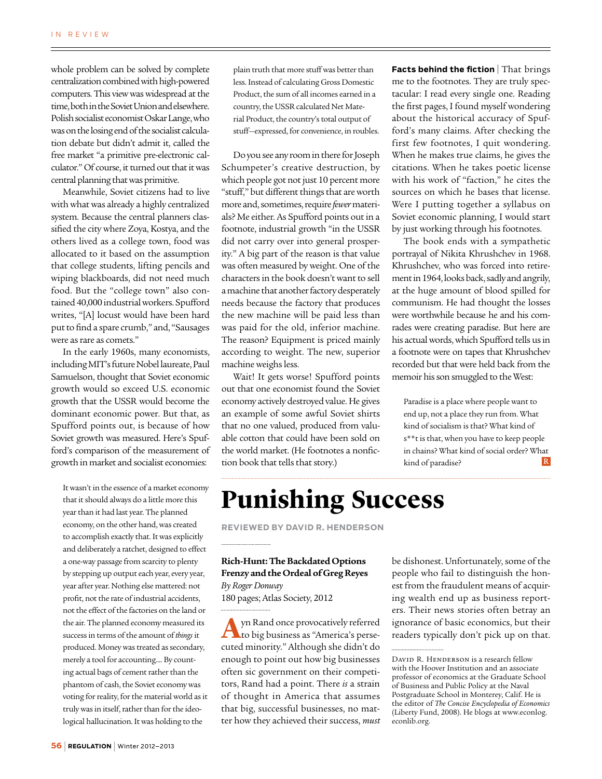whole problem can be solved by complete centralization combined with high-powered computers. This view was widespread at the time, both in the Soviet Union and elsewhere. Polish socialist economist Oskar Lange, who was on the losing end of the socialist calculation debate but didn't admit it, called the free market "a primitive pre-electronic calculator." Of course, it turned out that it was central planning that was primitive.

Meanwhile, Soviet citizens had to live with what was already a highly centralized system. Because the central planners classified the city where Zoya, Kostya, and the others lived as a college town, food was allocated to it based on the assumption that college students, lifting pencils and wiping blackboards, did not need much food. But the "college town" also contained 40,000 industrial workers. Spufford writes, "[A] locust would have been hard put to find a spare crumb," and, "Sausages were as rare as comets."

In the early 1960s, many economists, including MIT's future Nobel laureate, Paul Samuelson, thought that Soviet economic growth would so exceed U.S. economic growth that the USSR would become the dominant economic power. But that, as Spufford points out, is because of how Soviet growth was measured. Here's Spufford's comparison of the measurement of growth in market and socialist economies:

It wasn't in the essence of a market economy that it should always do a little more this year than it had last year. The planned economy, on the other hand, was created to accomplish exactly that. It was explicitly and deliberately a ratchet, designed to effect a one-way passage from scarcity to plenty by stepping up output each year, every year, year after year. Nothing else mattered: not profit, not the rate of industrial accidents, not the effect of the factories on the land or the air. The planned economy measured its success in terms of the amount of *things* it produced. Money was treated as secondary, merely a tool for accounting.... By counting actual bags of cement rather than the phantom of cash, the Soviet economy was voting for reality, for the material world as it truly was in itself, rather than for the ideological hallucination. It was holding to the

plain truth that more stuff was better than less. Instead of calculating Gross Domestic Product, the sum of all incomes earned in a country, the USSR calculated Net Material Product, the country's total output of stuff—expressed, for convenience, in roubles.

Do you see any room in there for Joseph Schumpeter's creative destruction, by which people got not just 10 percent more "stuff," but different things that are worth more and, sometimes, require *fewer* materials? Me either. As Spufford points out in a footnote, industrial growth "in the USSR did not carry over into general prosperity." A big part of the reason is that value was often measured by weight. One of the characters in the book doesn't want to sell a machine that another factory desperately needs because the factory that produces the new machine will be paid less than was paid for the old, inferior machine. The reason? Equipment is priced mainly according to weight. The new, superior machine weighs less.

Wait! It gets worse! Spufford points out that one economist found the Soviet economy actively destroyed value. He gives an example of some awful Soviet shirts that no one valued, produced from valuable cotton that could have been sold on the world market. (He footnotes a nonfiction book that tells that story.)

**Facts behind the fiction** | That brings me to the footnotes. They are truly spectacular: I read every single one. Reading the first pages, I found myself wondering about the historical accuracy of Spufford's many claims. After checking the first few footnotes, I quit wondering. When he makes true claims, he gives the citations. When he takes poetic license with his work of "faction," he cites the sources on which he bases that license. Were I putting together a syllabus on Soviet economic planning, I would start by just working through his footnotes.

The book ends with a sympathetic portrayal of Nikita Khrushchev in 1968. Khrushchev, who was forced into retirement in 1964, looks back, sadly and angrily, at the huge amount of blood spilled for communism. He had thought the losses were worthwhile because he and his comrades were creating paradise. But here are his actual words, which Spufford tells us in a footnote were on tapes that Khrushchev recorded but that were held back from the memoir his son smuggled to the West:

Paradise is a place where people want to end up, not a place they run from. What kind of socialism is that? What kind of s\*\*t is that, when you have to keep people in chains? What kind of social order? What  $\overline{\mathbf{R}}$ kind of paradise?

## **Punishing Success**

**Reviewed by David R. Henderson**

**Rich-Hunt: The Backdated Options Frenzy and the Ordeal of Greg Reyes**  *By Roger Donway* 180 pages; Atlas Society, 2012

**A**yn Rand once provocatively referred to big business as "America's persecuted minority." Although she didn't do enough to point out how big businesses often sic government on their competitors, Rand had a point. There *is* a strain of thought in America that assumes that big, successful businesses, no matter how they achieved their success, *must*

be dishonest. Unfortunately, some of the people who fail to distinguish the honest from the fraudulent means of acquiring wealth end up as business reporters. Their news stories often betray an ignorance of basic economics, but their readers typically don't pick up on that.

DAVID R. HENDERSON is a research fellow with the Hoover Institution and an associate professor of economics at the Graduate School of Business and Public Policy at the Naval Postgraduate School in Monterey, Calif. He is the editor of *The Concise Encyclopedia of Economics*  (Liberty Fund, 2008). He blogs at www.econlog. econlib.org.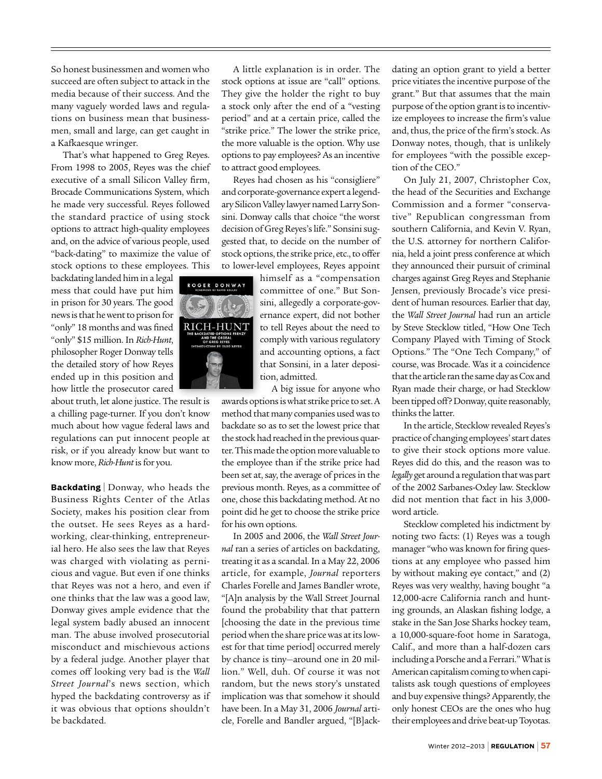So honest businessmen and women who succeed are often subject to attack in the media because of their success. And the many vaguely worded laws and regulations on business mean that businessmen, small and large, can get caught in a Kafkaesque wringer.

That's what happened to Greg Reyes. From 1998 to 2005, Reyes was the chief executive of a small Silicon Valley firm, Brocade Communications System, which he made very successful. Reyes followed the standard practice of using stock options to attract high-quality employees and, on the advice of various people, used "back-dating" to maximize the value of stock options to these employees. This

backdating landed him in a legal mess that could have put him in prison for 30 years. The good news is that he went to prison for "only" 18 months and was fined "only" \$15 million. In *Rich-Hunt*, philosopher Roger Donway tells the detailed story of how Reyes ended up in this position and how little the prosecutor cared

about truth, let alone justice. The result is a chilling page-turner. If you don't know much about how vague federal laws and regulations can put innocent people at risk, or if you already know but want to know more, *Rich-Hunt* is for you.

**Backdating** <sup>|</sup> Donway, who heads the Business Rights Center of the Atlas Society, makes his position clear from the outset. He sees Reyes as a hardworking, clear-thinking, entrepreneurial hero. He also sees the law that Reyes was charged with violating as pernicious and vague. But even if one thinks that Reyes was not a hero, and even if one thinks that the law was a good law, Donway gives ample evidence that the legal system badly abused an innocent man. The abuse involved prosecutorial misconduct and mischievous actions by a federal judge. Another player that comes off looking very bad is the *Wall Street Journal*'s news section, which hyped the backdating controversy as if it was obvious that options shouldn't be backdated.

A little explanation is in order. The stock options at issue are "call" options. They give the holder the right to buy a stock only after the end of a "vesting period" and at a certain price, called the "strike price." The lower the strike price, the more valuable is the option. Why use options to pay employees? As an incentive to attract good employees.

Reyes had chosen as his "consigliere" and corporate-governance expert a legendary Silicon Valley lawyer named Larry Sonsini. Donway calls that choice "the worst decision of Greg Reyes's life." Sonsini suggested that, to decide on the number of stock options, the strike price, etc., to offer to lower-level employees, Reyes appoint

himself as a "compensation committee of one." But Sonsini, allegedly a corporate-governance expert, did not bother to tell Reyes about the need to comply with various regulatory and accounting options, a fact that Sonsini, in a later deposition, admitted.

A big issue for anyone who

awards options is what strike price to set. A method that many companies used was to backdate so as to set the lowest price that the stock had reached in the previous quarter. This made the option more valuable to the employee than if the strike price had been set at, say, the average of prices in the previous month. Reyes, as a committee of one, chose this backdating method. At no point did he get to choose the strike price for his own options.

In 2005 and 2006, the *Wall Street Journal* ran a series of articles on backdating, treating it as a scandal. In a May 22, 2006 article, for example, *Journal* reporters Charles Forelle and James Bandler wrote, "[A]n analysis by the Wall Street Journal found the probability that that pattern [choosing the date in the previous time period when the share price was at its lowest for that time period] occurred merely by chance is tiny—around one in 20 million." Well, duh. Of course it was not random, but the news story's unstated implication was that somehow it should have been. In a May 31, 2006 *Journal* article, Forelle and Bandler argued, "[B]ack-

dating an option grant to yield a better price vitiates the incentive purpose of the grant." But that assumes that the main purpose of the option grant is to incentivize employees to increase the firm's value and, thus, the price of the firm's stock. As Donway notes, though, that is unlikely for employees "with the possible exception of the CEO."

On July 21, 2007, Christopher Cox, the head of the Securities and Exchange Commission and a former "conservative" Republican congressman from southern California, and Kevin V. Ryan, the U.S. attorney for northern California, held a joint press conference at which they announced their pursuit of criminal charges against Greg Reyes and Stephanie Jensen, previously Brocade's vice president of human resources. Earlier that day, the *Wall Street Journal* had run an article by Steve Stecklow titled, "How One Tech Company Played with Timing of Stock Options." The "One Tech Company," of course, was Brocade. Was it a coincidence that the article ran the same day as Cox and Ryan made their charge, or had Stecklow been tipped off? Donway, quite reasonably, thinks the latter.

In the article, Stecklow revealed Reyes's practice of changing employees' start dates to give their stock options more value. Reyes did do this, and the reason was to *legally* get around a regulation that was part of the 2002 Sarbanes-Oxley law. Stecklow did not mention that fact in his 3,000 word article.

Stecklow completed his indictment by noting two facts: (1) Reyes was a tough manager "who was known for firing questions at any employee who passed him by without making eye contact," and (2) Reyes was very wealthy, having bought "a 12,000-acre California ranch and hunting grounds, an Alaskan fishing lodge, a stake in the San Jose Sharks hockey team, a 10,000-square-foot home in Saratoga, Calif., and more than a half-dozen cars including a Porsche and a Ferrari." What is American capitalism coming to when capitalists ask tough questions of employees and buy expensive things? Apparently, the only honest CEOs are the ones who hug their employees and drive beat-up Toyotas.

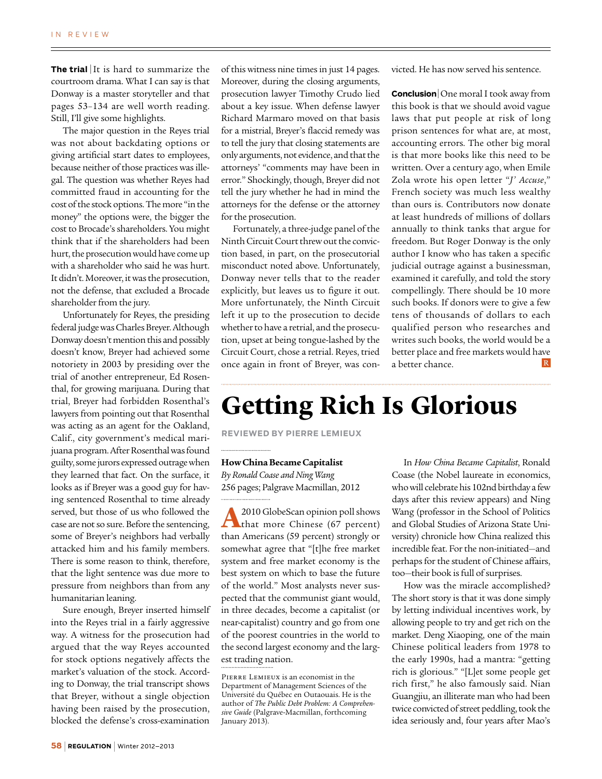**The trial** It is hard to summarize the courtroom drama. What I can say is that Donway is a master storyteller and that pages 53–134 are well worth reading. Still, I'll give some highlights.

The major question in the Reyes trial was not about backdating options or giving artificial start dates to employees, because neither of those practices was illegal. The question was whether Reyes had committed fraud in accounting for the cost of the stock options. The more "in the money" the options were, the bigger the cost to Brocade's shareholders. You might think that if the shareholders had been hurt, the prosecution would have come up with a shareholder who said he was hurt. It didn't. Moreover, it was the prosecution, not the defense, that excluded a Brocade shareholder from the jury.

Unfortunately for Reyes, the presiding federal judge was Charles Breyer. Although Donway doesn't mention this and possibly doesn't know, Breyer had achieved some notoriety in 2003 by presiding over the trial of another entrepreneur, Ed Rosenthal, for growing marijuana. During that trial, Breyer had forbidden Rosenthal's lawyers from pointing out that Rosenthal was acting as an agent for the Oakland, Calif., city government's medical marijuana program. After Rosenthal was found guilty, some jurors expressed outrage when they learned that fact. On the surface, it looks as if Breyer was a good guy for having sentenced Rosenthal to time already served, but those of us who followed the case are not so sure. Before the sentencing, some of Breyer's neighbors had verbally attacked him and his family members. There is some reason to think, therefore, that the light sentence was due more to pressure from neighbors than from any humanitarian leaning.

Sure enough, Breyer inserted himself into the Reyes trial in a fairly aggressive way. A witness for the prosecution had argued that the way Reyes accounted for stock options negatively affects the market's valuation of the stock. According to Donway, the trial transcript shows that Breyer, without a single objection having been raised by the prosecution, blocked the defense's cross-examination of this witness nine times in just 14 pages. Moreover, during the closing arguments, prosecution lawyer Timothy Crudo lied about a key issue. When defense lawyer Richard Marmaro moved on that basis for a mistrial, Breyer's flaccid remedy was to tell the jury that closing statements are only arguments, not evidence, and that the attorneys' "comments may have been in error." Shockingly, though, Breyer did not tell the jury whether he had in mind the attorneys for the defense or the attorney for the prosecution.

Fortunately, a three-judge panel of the Ninth Circuit Court threw out the conviction based, in part, on the prosecutorial misconduct noted above. Unfortunately, Donway never tells that to the reader explicitly, but leaves us to figure it out. More unfortunately, the Ninth Circuit left it up to the prosecution to decide whether to have a retrial, and the prosecution, upset at being tongue-lashed by the Circuit Court, chose a retrial. Reyes, tried once again in front of Breyer, was convicted. He has now served his sentence.

**Conclusion**<sup>|</sup> One moral I took away from this book is that we should avoid vague laws that put people at risk of long prison sentences for what are, at most, accounting errors. The other big moral is that more books like this need to be written. Over a century ago, when Emile Zola wrote his open letter "*J' Accuse*," French society was much less wealthy than ours is. Contributors now donate at least hundreds of millions of dollars annually to think tanks that argue for freedom. But Roger Donway is the only author I know who has taken a specific judicial outrage against a businessman, examined it carefully, and told the story compellingly. There should be 10 more such books. If donors were to give a few tens of thousands of dollars to each qualified person who researches and writes such books, the world would be a better place and free markets would have a better chance.

## **Getting Rich Is Glorious**

**Reviewed by Pierre Lemieux**

#### **How China Became Capitalist**

*By Ronald Coase and Ning Wang* 256 pages; Palgrave Macmillan, 2012

**A** 2010 GlobeScan opinion poll shows that more Chinese (67 percent) than Americans (59 percent) strongly or somewhat agree that "[t]he free market system and free market economy is the best system on which to base the future of the world." Most analysts never suspected that the communist giant would, in three decades, become a capitalist (or near-capitalist) country and go from one of the poorest countries in the world to the second largest economy and the largest trading nation.

In *How China Became Capitalist*, Ronald Coase (the Nobel laureate in economics, who will celebrate his 102nd birthday a few days after this review appears) and Ning Wang (professor in the School of Politics and Global Studies of Arizona State University) chronicle how China realized this incredible feat. For the non-initiated—and perhaps for the student of Chinese affairs, too—their book is full of surprises.

How was the miracle accomplished? The short story is that it was done simply by letting individual incentives work, by allowing people to try and get rich on the market. Deng Xiaoping, one of the main Chinese political leaders from 1978 to the early 1990s, had a mantra: "getting rich is glorious." "[L]et some people get rich first," he also famously said. Nian Guangjiu, an illiterate man who had been twice convicted of street peddling, took the idea seriously and, four years after Mao's

Pierre Lemieux is an economist in the Department of Management Sciences of the Université du Québec en Outaouais. He is the author of *The Public Debt Problem: A Comprehensive Guide* (Palgrave-Macmillan, forthcoming January 2013).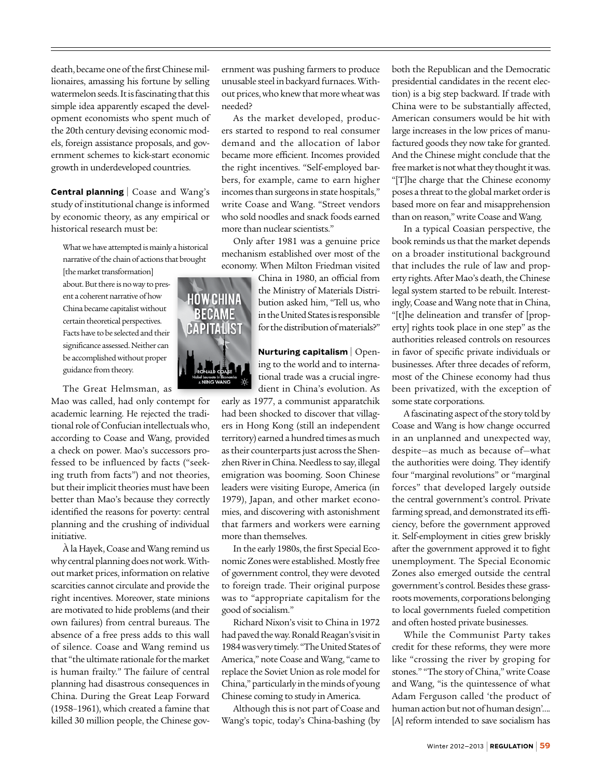death, became one of the first Chinese millionaires, amassing his fortune by selling watermelon seeds. It is fascinating that this simple idea apparently escaped the development economists who spent much of the 20th century devising economic models, foreign assistance proposals, and government schemes to kick-start economic growth in underdeveloped countries.

**Central planning** | Coase and Wang's study of institutional change is informed by economic theory, as any empirical or historical research must be:

What we have attempted is mainly a historical narrative of the chain of actions that brought

[the market transformation] about. But there is no way to present a coherent narrative of how China became capitalist without certain theoretical perspectives. Facts have to be selected and their significance assessed. Neither can be accomplished without proper guidance from theory.

The Great Helmsman, as

Mao was called, had only contempt for academic learning. He rejected the traditional role of Confucian intellectuals who, according to Coase and Wang, provided a check on power. Mao's successors professed to be influenced by facts ("seeking truth from facts") and not theories, but their implicit theories must have been better than Mao's because they correctly identified the reasons for poverty: central planning and the crushing of individual initiative.

À la Hayek, Coase and Wang remind us why central planning does not work. Without market prices, information on relative scarcities cannot circulate and provide the right incentives. Moreover, state minions are motivated to hide problems (and their own failures) from central bureaus. The absence of a free press adds to this wall of silence. Coase and Wang remind us that "the ultimate rationale for the market is human frailty." The failure of central planning had disastrous consequences in China. During the Great Leap Forward (1958–1961), which created a famine that killed 30 million people, the Chinese government was pushing farmers to produce unusable steel in backyard furnaces. Without prices, who knew that more wheat was needed?

As the market developed, producers started to respond to real consumer demand and the allocation of labor became more efficient. Incomes provided the right incentives. "Self-employed barbers, for example, came to earn higher incomes than surgeons in state hospitals," write Coase and Wang. "Street vendors who sold noodles and snack foods earned more than nuclear scientists."

Only after 1981 was a genuine price mechanism established over most of the economy. When Milton Friedman visited

> China in 1980, an official from the Ministry of Materials Distribution asked him, "Tell us, who in the United States is responsible for the distribution of materials?"

**Nurturing capitalism** | Opening to the world and to international trade was a crucial ingredient in China's evolution. As

early as 1977, a communist apparatchik had been shocked to discover that villagers in Hong Kong (still an independent territory) earned a hundred times as much as their counterparts just across the Shenzhen River in China. Needless to say, illegal emigration was booming. Soon Chinese leaders were visiting Europe, America (in 1979), Japan, and other market economies, and discovering with astonishment that farmers and workers were earning more than themselves.

In the early 1980s, the first Special Economic Zones were established. Mostly free of government control, they were devoted to foreign trade. Their original purpose was to "appropriate capitalism for the good of socialism."

Richard Nixon's visit to China in 1972 had paved the way. Ronald Reagan's visit in 1984 was very timely. "The United States of America," note Coase and Wang, "came to replace the Soviet Union as role model for China," particularly in the minds of young Chinese coming to study in America.

Although this is not part of Coase and Wang's topic, today's China-bashing (by

both the Republican and the Democratic presidential candidates in the recent election) is a big step backward. If trade with China were to be substantially affected, American consumers would be hit with large increases in the low prices of manufactured goods they now take for granted. And the Chinese might conclude that the free market is not what they thought it was. "[T]he charge that the Chinese economy poses a threat to the global market order is based more on fear and misapprehension than on reason," write Coase and Wang*.*

In a typical Coasian perspective, the book reminds us that the market depends on a broader institutional background that includes the rule of law and property rights. After Mao's death, the Chinese legal system started to be rebuilt. Interestingly, Coase and Wang note that in China, "[t]he delineation and transfer of [property] rights took place in one step" as the authorities released controls on resources in favor of specific private individuals or businesses. After three decades of reform, most of the Chinese economy had thus been privatized, with the exception of some state corporations.

A fascinating aspect of the story told by Coase and Wang is how change occurred in an unplanned and unexpected way, despite—as much as because of—what the authorities were doing. They identify four "marginal revolutions" or "marginal forces" that developed largely outside the central government's control. Private farming spread, and demonstrated its efficiency, before the government approved it. Self-employment in cities grew briskly after the government approved it to fight unemployment. The Special Economic Zones also emerged outside the central government's control. Besides these grassroots movements, corporations belonging to local governments fueled competition and often hosted private businesses.

While the Communist Party takes credit for these reforms, they were more like "crossing the river by groping for stones." "The story of China," write Coase and Wang, "is the quintessence of what Adam Ferguson called 'the product of human action but not of human design'…. [A] reform intended to save socialism has

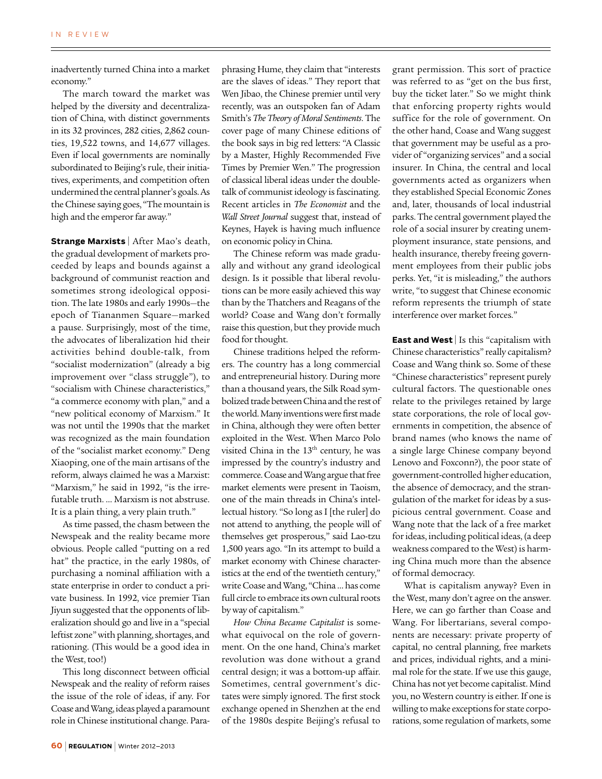inadvertently turned China into a market economy."

The march toward the market was helped by the diversity and decentralization of China, with distinct governments in its 32 provinces, 282 cities, 2,862 counties, 19,522 towns, and 14,677 villages. Even if local governments are nominally subordinated to Beijing's rule, their initiatives, experiments, and competition often undermined the central planner's goals. As the Chinese saying goes, "The mountain is high and the emperor far away."

**Strange Marxists** | After Mao's death, the gradual development of markets proceeded by leaps and bounds against a background of communist reaction and sometimes strong ideological opposition. The late 1980s and early 1990s—the epoch of Tiananmen Square—marked a pause. Surprisingly, most of the time, the advocates of liberalization hid their activities behind double-talk, from "socialist modernization" (already a big improvement over "class struggle"), to "socialism with Chinese characteristics," "a commerce economy with plan," and a "new political economy of Marxism." It was not until the 1990s that the market was recognized as the main foundation of the "socialist market economy." Deng Xiaoping, one of the main artisans of the reform, always claimed he was a Marxist: "Marxism," he said in 1992, "is the irrefutable truth. … Marxism is not abstruse. It is a plain thing, a very plain truth."

As time passed, the chasm between the Newspeak and the reality became more obvious. People called "putting on a red hat" the practice, in the early 1980s, of purchasing a nominal affiliation with a state enterprise in order to conduct a private business. In 1992, vice premier Tian Jiyun suggested that the opponents of liberalization should go and live in a "special leftist zone" with planning, shortages, and rationing. (This would be a good idea in the West, too!)

This long disconnect between official Newspeak and the reality of reform raises the issue of the role of ideas, if any. For Coase and Wang, ideas played a paramount role in Chinese institutional change. Paraphrasing Hume, they claim that "interests are the slaves of ideas." They report that Wen Jibao, the Chinese premier until very recently, was an outspoken fan of Adam Smith's *The Theory of Moral Sentiments*. The cover page of many Chinese editions of the book says in big red letters: "A Classic by a Master, Highly Recommended Five Times by Premier Wen." The progression of classical liberal ideas under the doubletalk of communist ideology is fascinating. Recent articles in *The Economist* and the *Wall Street Journal* suggest that, instead of Keynes, Hayek is having much influence on economic policy in China.

The Chinese reform was made gradually and without any grand ideological design. Is it possible that liberal revolutions can be more easily achieved this way than by the Thatchers and Reagans of the world? Coase and Wang don't formally raise this question, but they provide much food for thought.

Chinese traditions helped the reformers. The country has a long commercial and entrepreneurial history. During more than a thousand years, the Silk Road symbolized trade between China and the rest of the world. Many inventions were first made in China, although they were often better exploited in the West. When Marco Polo visited China in the 13<sup>th</sup> century, he was impressed by the country's industry and commerce. Coase and Wang argue that free market elements were present in Taoism, one of the main threads in China's intellectual history. "So long as I [the ruler] do not attend to anything, the people will of themselves get prosperous," said Lao-tzu 1,500 years ago. "In its attempt to build a market economy with Chinese characteristics at the end of the twentieth century," write Coase and Wang, "China … has come full circle to embrace its own cultural roots by way of capitalism."

*How China Became Capitalist* is somewhat equivocal on the role of government. On the one hand, China's market revolution was done without a grand central design; it was a bottom-up affair. Sometimes, central government's dictates were simply ignored. The first stock exchange opened in Shenzhen at the end of the 1980s despite Beijing's refusal to grant permission. This sort of practice was referred to as "get on the bus first, buy the ticket later." So we might think that enforcing property rights would suffice for the role of government. On the other hand, Coase and Wang suggest that government may be useful as a provider of "organizing services" and a social insurer. In China, the central and local governments acted as organizers when they established Special Economic Zones and, later, thousands of local industrial parks. The central government played the role of a social insurer by creating unemployment insurance, state pensions, and health insurance, thereby freeing government employees from their public jobs perks. Yet, "it is misleading," the authors write, "to suggest that Chinese economic reform represents the triumph of state interference over market forces."

**East and West** | Is this "capitalism with Chinese characteristics" really capitalism? Coase and Wang think so. Some of these "Chinese characteristics" represent purely cultural factors. The questionable ones relate to the privileges retained by large state corporations, the role of local governments in competition, the absence of brand names (who knows the name of a single large Chinese company beyond Lenovo and Foxconn?), the poor state of government-controlled higher education, the absence of democracy, and the strangulation of the market for ideas by a suspicious central government. Coase and Wang note that the lack of a free market for ideas, including political ideas, (a deep weakness compared to the West) is harming China much more than the absence of formal democracy.

What is capitalism anyway? Even in the West, many don't agree on the answer. Here, we can go farther than Coase and Wang. For libertarians, several components are necessary: private property of capital, no central planning, free markets and prices, individual rights, and a minimal role for the state. If we use this gauge, China has not yet become capitalist. Mind you, no Western country is either. If one is willing to make exceptions for state corporations, some regulation of markets, some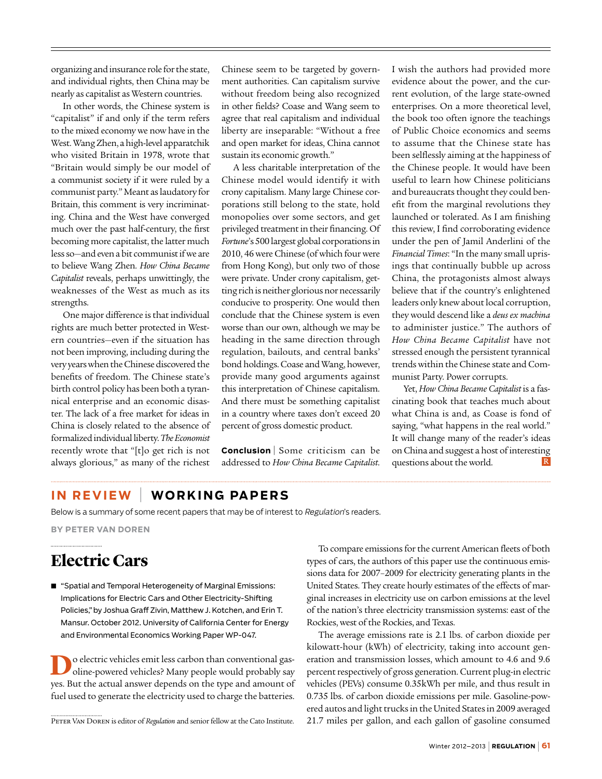organizing and insurance role for the state, and individual rights, then China may be nearly as capitalist as Western countries.

In other words, the Chinese system is "capitalist" if and only if the term refers to the mixed economy we now have in the West. Wang Zhen, a high-level apparatchik who visited Britain in 1978, wrote that "Britain would simply be our model of a communist society if it were ruled by a communist party." Meant as laudatory for Britain, this comment is very incriminating. China and the West have converged much over the past half-century, the first becoming more capitalist, the latter much less so—and even a bit communist if we are to believe Wang Zhen. *How China Became Capitalist* reveals, perhaps unwittingly, the weaknesses of the West as much as its strengths.

One major difference is that individual rights are much better protected in Western countries—even if the situation has not been improving, including during the very years when the Chinese discovered the benefits of freedom. The Chinese state's birth control policy has been both a tyrannical enterprise and an economic disaster. The lack of a free market for ideas in China is closely related to the absence of formalized individual liberty. *The Economist* recently wrote that "[t]o get rich is not always glorious," as many of the richest

Chinese seem to be targeted by government authorities. Can capitalism survive without freedom being also recognized in other fields? Coase and Wang seem to agree that real capitalism and individual liberty are inseparable: "Without a free and open market for ideas, China cannot sustain its economic growth."

A less charitable interpretation of the Chinese model would identify it with crony capitalism. Many large Chinese corporations still belong to the state, hold monopolies over some sectors, and get privileged treatment in their financing. Of *Fortune*'s 500 largest global corporations in 2010, 46 were Chinese (of which four were from Hong Kong), but only two of those were private. Under crony capitalism, getting rich is neither glorious nor necessarily conducive to prosperity. One would then conclude that the Chinese system is even worse than our own, although we may be heading in the same direction through regulation, bailouts, and central banks' bond holdings. Coase and Wang, however, provide many good arguments against this interpretation of Chinese capitalism. And there must be something capitalist in a country where taxes don't exceed 20 percent of gross domestic product.

**Conclusion**<sup>|</sup> Some criticism can be addressed to *How China Became Capitalist*.

I wish the authors had provided more evidence about the power, and the current evolution, of the large state-owned enterprises. On a more theoretical level, the book too often ignore the teachings of Public Choice economics and seems to assume that the Chinese state has been selflessly aiming at the happiness of the Chinese people. It would have been useful to learn how Chinese politicians and bureaucrats thought they could benefit from the marginal revolutions they launched or tolerated. As I am finishing this review, I find corroborating evidence under the pen of Jamil Anderlini of the *Financial Times*: "In the many small uprisings that continually bubble up across China, the protagonists almost always believe that if the country's enlightened leaders only knew about local corruption, they would descend like a *deus ex machina* to administer justice." The authors of *How China Became Capitalist* have not stressed enough the persistent tyrannical trends within the Chinese state and Communist Party. Power corrupts.

Yet, *How China Became Capitalist* is a fascinating book that teaches much about what China is and, as Coase is fond of saying, "what happens in the real world." It will change many of the reader's ideas on China and suggest a host of interesting questions about the world.

### **I n Review** | **Wo rk i n g Papers**

Below is a summary of some recent papers that may be of interest to Regulation's readers.

**By Peter Van Doren**

### **Electric Cars**

■ "Spatial and Temporal Heterogeneity of Marginal Emissions: Implications for Electric Cars and Other Electricity-Shifting Policies," by Joshua Graff Zivin, Matthew J. Kotchen, and Erin T. Mansur. October 2012. University of California Center for Energy and Environmental Economics Working Paper WP-047.

**D**o electric vehicles emit less carbon than conventional gasoline-powered vehicles? Many people would probably say yes. But the actual answer depends on the type and amount of fuel used to generate the electricity used to charge the batteries.

To compare emissions for the current American fleets of both types of cars, the authors of this paper use the continuous emissions data for 2007–2009 for electricity generating plants in the United States. They create hourly estimates of the effects of marginal increases in electricity use on carbon emissions at the level of the nation's three electricity transmission systems: east of the Rockies, west of the Rockies, and Texas.

The average emissions rate is 2.1 lbs. of carbon dioxide per kilowatt-hour (kWh) of electricity, taking into account generation and transmission losses, which amount to 4.6 and 9.6 percent respectively of gross generation. Current plug-in electric vehicles (PEVs) consume 0.35kWh per mile, and thus result in 0.735 lbs. of carbon dioxide emissions per mile. Gasoline-powered autos and light trucks in the United States in 2009 averaged PETER VAN DOREN is editor of *Regulation* and senior fellow at the Cato Institute. 21.7 miles per gallon, and each gallon of gasoline consumed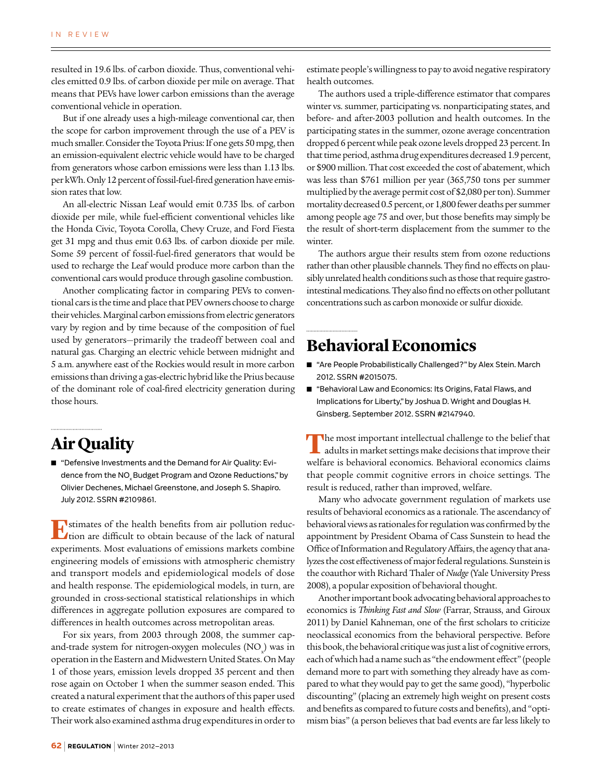resulted in 19.6 lbs. of carbon dioxide. Thus, conventional vehicles emitted 0.9 lbs. of carbon dioxide per mile on average. That means that PEVs have lower carbon emissions than the average conventional vehicle in operation.

But if one already uses a high-mileage conventional car, then the scope for carbon improvement through the use of a PEV is much smaller. Consider the Toyota Prius: If one gets 50 mpg, then an emission-equivalent electric vehicle would have to be charged from generators whose carbon emissions were less than 1.13 lbs. per kWh. Only 12 percent of fossil-fuel-fired generation have emission rates that low.

An all-electric Nissan Leaf would emit 0.735 lbs. of carbon dioxide per mile, while fuel-efficient conventional vehicles like the Honda Civic, Toyota Corolla, Chevy Cruze, and Ford Fiesta get 31 mpg and thus emit 0.63 lbs. of carbon dioxide per mile. Some 59 percent of fossil-fuel-fired generators that would be used to recharge the Leaf would produce more carbon than the conventional cars would produce through gasoline combustion.

Another complicating factor in comparing PEVs to conventional cars is the time and place that PEV owners choose to charge their vehicles. Marginal carbon emissions from electric generators vary by region and by time because of the composition of fuel used by generators—primarily the tradeoff between coal and natural gas. Charging an electric vehicle between midnight and 5 a.m. anywhere east of the Rockies would result in more carbon emissions than driving a gas-electric hybrid like the Prius because of the dominant role of coal-fired electricity generation during those hours.

### **Air Quality**

■ "Defensive Investments and the Demand for Air Quality: Evidence from the NO<sub>y</sub> Budget Program and Ozone Reductions," by Olivier Dechenes, Michael Greenstone, and Joseph S. Shapiro. July 2012. SSRN #2109861.

**E**stimates of the health benefits from air pollution reduction are difficult to obtain because of the lack of natural experiments. Most evaluations of emissions markets combine engineering models of emissions with atmospheric chemistry and transport models and epidemiological models of dose and health response. The epidemiological models, in turn, are grounded in cross-sectional statistical relationships in which differences in aggregate pollution exposures are compared to differences in health outcomes across metropolitan areas.

For six years, from 2003 through 2008, the summer capand-trade system for nitrogen-oxygen molecules  $\mathrm{(NO_x)}$  was in operation in the Eastern and Midwestern United States. On May 1 of those years, emission levels dropped 35 percent and then rose again on October 1 when the summer season ended. This created a natural experiment that the authors of this paper used to create estimates of changes in exposure and health effects. Their work also examined asthma drug expenditures in order to

estimate people's willingness to pay to avoid negative respiratory health outcomes.

The authors used a triple-difference estimator that compares winter vs. summer, participating vs. nonparticipating states, and before- and after-2003 pollution and health outcomes. In the participating states in the summer, ozone average concentration dropped 6 percent while peak ozone levels dropped 23 percent. In that time period, asthma drug expenditures decreased 1.9 percent, or \$900 million. That cost exceeded the cost of abatement, which was less than \$761 million per year (365,750 tons per summer multiplied by the average permit cost of \$2,080 per ton). Summer mortality decreased 0.5 percent, or 1,800 fewer deaths per summer among people age 75 and over, but those benefits may simply be the result of short-term displacement from the summer to the winter.

The authors argue their results stem from ozone reductions rather than other plausible channels. They find no effects on plausibly unrelated health conditions such as those that require gastrointestinal medications. They also find no effects on other pollutant concentrations such as carbon monoxide or sulfur dioxide.

### **Behavioral Economics**

- "Are People Probabilistically Challenged?" by Alex Stein. March 2012. SSRN #2015075.
- "Behavioral Law and Economics: Its Origins, Fatal Flaws, and Implications for Liberty," by Joshua D. Wright and Douglas H. Ginsberg. September 2012. SSRN #2147940.

**T**he most important intellectual challenge to the belief that adults in market settings make decisions that improve their welfare is behavioral economics. Behavioral economics claims that people commit cognitive errors in choice settings. The result is reduced, rather than improved, welfare.

Many who advocate government regulation of markets use results of behavioral economics as a rationale. The ascendancy of behavioral views as rationales for regulation was confirmed by the appointment by President Obama of Cass Sunstein to head the Office of Information and Regulatory Affairs, the agency that analyzes the cost effectiveness of major federal regulations. Sunstein is the coauthor with Richard Thaler of *Nudge* (Yale University Press 2008), a popular exposition of behavioral thought.

Another important book advocating behavioral approaches to economics is *Thinking Fast and Slow* (Farrar, Strauss, and Giroux 2011) by Daniel Kahneman, one of the first scholars to criticize neoclassical economics from the behavioral perspective. Before this book, the behavioral critique was just a list of cognitive errors, each of which had a name such as "the endowment effect" (people demand more to part with something they already have as compared to what they would pay to get the same good), "hyperbolic discounting" (placing an extremely high weight on present costs and benefits as compared to future costs and benefits), and "optimism bias" (a person believes that bad events are far less likely to